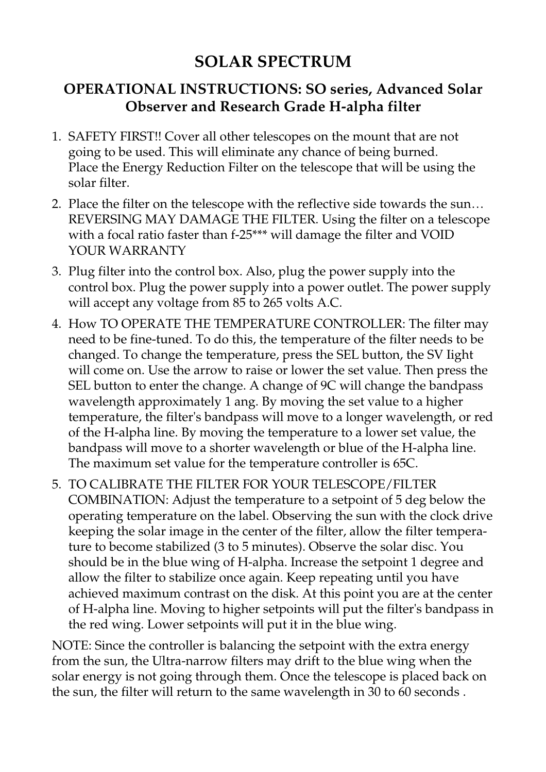## **SOLAR SPECTRUM**

## **OPERATIONAL INSTRUCTIONS: SO series, Advanced Solar Observer and Research Grade H-alpha filter**

- 1. SAFETY FIRST!! Cover all other telescopes on the mount that are not going to be used. This will eliminate any chance of being burned. Place the Energy Reduction Filter on the telescope that will be using the solar filter.
- 2. Place the filter on the telescope with the reflective side towards the sun… REVERSING MAY DAMAGE THE FILTER. Using the filter on a telescope with a focal ratio faster than f-25\*\*\* will damage the filter and VOID YOUR WARRANTY
- 3. Plug filter into the control box. Also, plug the power supply into the control box. Plug the power supply into a power outlet. The power supply will accept any voltage from 85 to 265 volts A.C.
- 4. How TO OPERATE THE TEMPERATURE CONTROLLER: The filter may need to be fine-tuned. To do this, the temperature of the filter needs to be changed. To change the temperature, press the SEL button, the SV Iight will come on. Use the arrow to raise or lower the set value. Then press the SEL button to enter the change. A change of 9C will change the bandpass wavelength approximately 1 ang. By moving the set value to a higher temperature, the filter's bandpass will move to a longer wavelength, or red of the H-alpha line. By moving the temperature to a lower set value, the bandpass will move to a shorter wavelength or blue of the H-alpha line. The maximum set value for the temperature controller is 65C.
- 5. TO CALIBRATE THE FILTER FOR YOUR TELESCOPE/FILTER COMBINATION: Adjust the temperature to a setpoint of 5 deg below the operating temperature on the label. Observing the sun with the clock drive keeping the solar image in the center of the filter, allow the filter temperature to become stabilized (3 to 5 minutes). Observe the solar disc. You should be in the blue wing of H-alpha. Increase the setpoint 1 degree and allow the filter to stabilize once again. Keep repeating until you have achieved maximum contrast on the disk. At this point you are at the center of H-alpha line. Moving to higher setpoints will put the filter's bandpass in the red wing. Lower setpoints will put it in the blue wing.

NOTE: Since the controller is balancing the setpoint with the extra energy from the sun, the Ultra-narrow filters may drift to the blue wing when the solar energy is not going through them. Once the telescope is placed back on the sun, the filter will return to the same wavelength in 30 to 60 seconds .